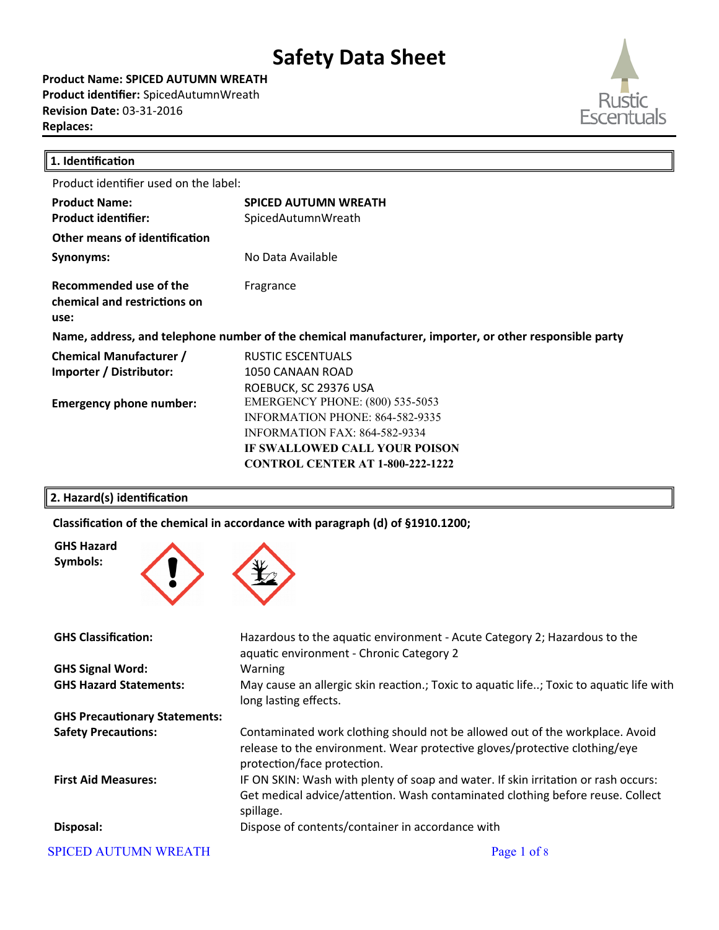**Product Name: SPICED AUTUMN WREATH Product identifier:** SpicedAutumnWreath **Revision Date:** 03-31-2016 **Replaces:** 



╜

| 1. Identification                                              |                                                                                                        |
|----------------------------------------------------------------|--------------------------------------------------------------------------------------------------------|
| Product identifier used on the label:                          |                                                                                                        |
| <b>Product Name:</b>                                           | <b>SPICED AUTUMN WREATH</b>                                                                            |
| <b>Product identifier:</b>                                     | SpicedAutumnWreath                                                                                     |
| <b>Other means of identification</b>                           |                                                                                                        |
| Synonyms:                                                      | No Data Available                                                                                      |
| Recommended use of the<br>chemical and restrictions on<br>use: | Fragrance                                                                                              |
|                                                                | Name, address, and telephone number of the chemical manufacturer, importer, or other responsible party |
| <b>Chemical Manufacturer /</b>                                 | RUSTIC ESCENTUALS                                                                                      |
| Importer / Distributor:                                        | 1050 CANAAN ROAD                                                                                       |
|                                                                | ROEBUCK, SC 29376 USA                                                                                  |
| <b>Emergency phone number:</b>                                 | <b>EMERGENCY PHONE: (800) 535-5053</b>                                                                 |
|                                                                | <b>INFORMATION PHONE: 864-582-9335</b>                                                                 |
|                                                                | <b>INFORMATION FAX: 864-582-9334</b>                                                                   |
|                                                                | IF SWALLOWED CALL YOUR POISON                                                                          |
|                                                                | <b>CONTROL CENTER AT 1-800-222-1222</b>                                                                |
|                                                                |                                                                                                        |

### **2. Hazard(s) identification**

Classification of the chemical in accordance with paragraph (d) of §1910.1200;



| <b>GHS Classification:</b>           | Hazardous to the aquatic environment - Acute Category 2; Hazardous to the                                                                                                                 |
|--------------------------------------|-------------------------------------------------------------------------------------------------------------------------------------------------------------------------------------------|
|                                      | aquatic environment - Chronic Category 2                                                                                                                                                  |
| <b>GHS Signal Word:</b>              | Warning                                                                                                                                                                                   |
| <b>GHS Hazard Statements:</b>        | May cause an allergic skin reaction.; Toxic to aquatic life; Toxic to aquatic life with<br>long lasting effects.                                                                          |
| <b>GHS Precautionary Statements:</b> |                                                                                                                                                                                           |
| <b>Safety Precautions:</b>           | Contaminated work clothing should not be allowed out of the workplace. Avoid<br>release to the environment. Wear protective gloves/protective clothing/eye<br>protection/face protection. |
| <b>First Aid Measures:</b>           | IF ON SKIN: Wash with plenty of soap and water. If skin irritation or rash occurs:<br>Get medical advice/attention. Wash contaminated clothing before reuse. Collect<br>spillage.         |
| Disposal:                            | Dispose of contents/container in accordance with                                                                                                                                          |
| <b>SPICED AUTUMN WREATH</b>          | Page 1 of 8                                                                                                                                                                               |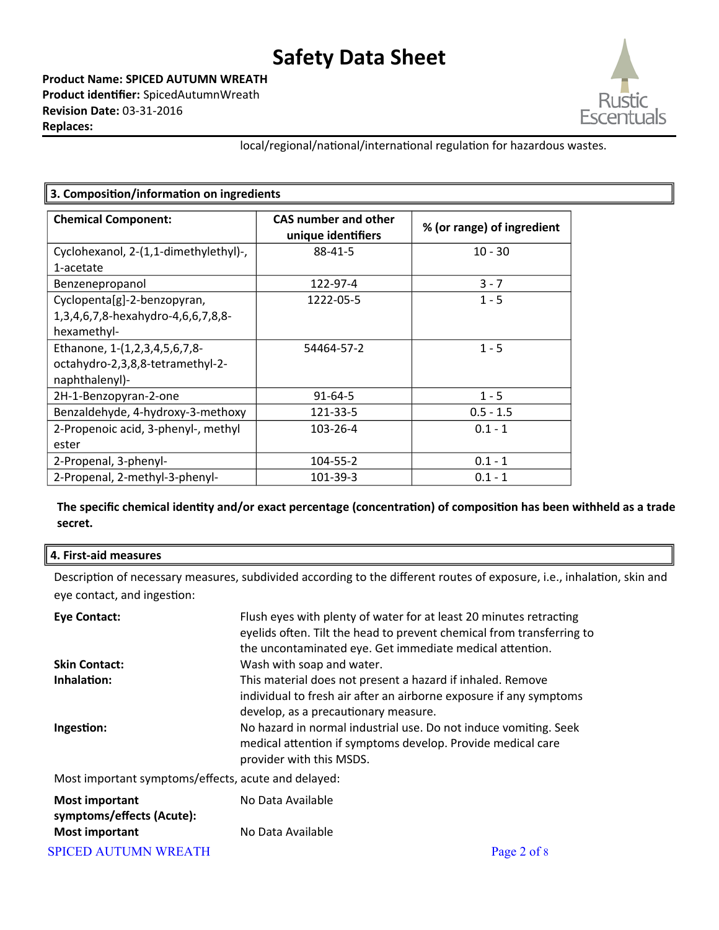**Product Name: SPICED AUTUMN WREATH Product identifier:** SpicedAutumnWreath **Revision Date:** 03-31-2016 **Replaces:** 



local/regional/national/international regulation for hazardous wastes.

| 3. Composition/information on ingredients |                                                   |                            |  |
|-------------------------------------------|---------------------------------------------------|----------------------------|--|
| <b>Chemical Component:</b>                | <b>CAS number and other</b><br>unique identifiers | % (or range) of ingredient |  |
| Cyclohexanol, 2-(1,1-dimethylethyl)-,     | 88-41-5                                           | $10 - 30$                  |  |
| 1-acetate                                 |                                                   |                            |  |
| Benzenepropanol                           | 122-97-4                                          | $3 - 7$                    |  |
| Cyclopenta[g]-2-benzopyran,               | 1222-05-5                                         | $1 - 5$                    |  |
| 1,3,4,6,7,8-hexahydro-4,6,6,7,8,8-        |                                                   |                            |  |
| hexamethyl-                               |                                                   |                            |  |
| Ethanone, 1-(1,2,3,4,5,6,7,8-             | 54464-57-2                                        | $1 - 5$                    |  |
| octahydro-2,3,8,8-tetramethyl-2-          |                                                   |                            |  |
| naphthalenyl)-                            |                                                   |                            |  |
| 2H-1-Benzopyran-2-one                     | $91 - 64 - 5$                                     | $1 - 5$                    |  |
| Benzaldehyde, 4-hydroxy-3-methoxy         | 121-33-5                                          | $0.5 - 1.5$                |  |
| 2-Propenoic acid, 3-phenyl-, methyl       | 103-26-4                                          | $0.1 - 1$                  |  |
| ester                                     |                                                   |                            |  |
| 2-Propenal, 3-phenyl-                     | 104-55-2                                          | $0.1 - 1$                  |  |
| 2-Propenal, 2-methyl-3-phenyl-            | 101-39-3                                          | $0.1 - 1$                  |  |

**The specific chemical identity and/or exact percentage (concentration) of composition has been withheld as a trade secret.**

### **4. First-aid measures**

Description of necessary measures, subdivided according to the different routes of exposure, i.e., inhalation, skin and eye contact, and ingestion:

| <b>Eye Contact:</b>                                 | Flush eyes with plenty of water for at least 20 minutes retracting<br>eyelids often. Tilt the head to prevent chemical from transferring to<br>the uncontaminated eye. Get immediate medical attention. |
|-----------------------------------------------------|---------------------------------------------------------------------------------------------------------------------------------------------------------------------------------------------------------|
| <b>Skin Contact:</b>                                | Wash with soap and water.                                                                                                                                                                               |
| Inhalation:                                         | This material does not present a hazard if inhaled. Remove<br>individual to fresh air after an airborne exposure if any symptoms<br>develop, as a precautionary measure.                                |
| Ingestion:                                          | No hazard in normal industrial use. Do not induce vomiting. Seek<br>medical attention if symptoms develop. Provide medical care<br>provider with this MSDS.                                             |
| Most important symptoms/effects, acute and delayed: |                                                                                                                                                                                                         |
| <b>Most important</b><br>symptoms/effects (Acute):  | No Data Available                                                                                                                                                                                       |
| <b>Most important</b>                               | No Data Available                                                                                                                                                                                       |

SPICED AUTUMN WREATH Page 2 of 8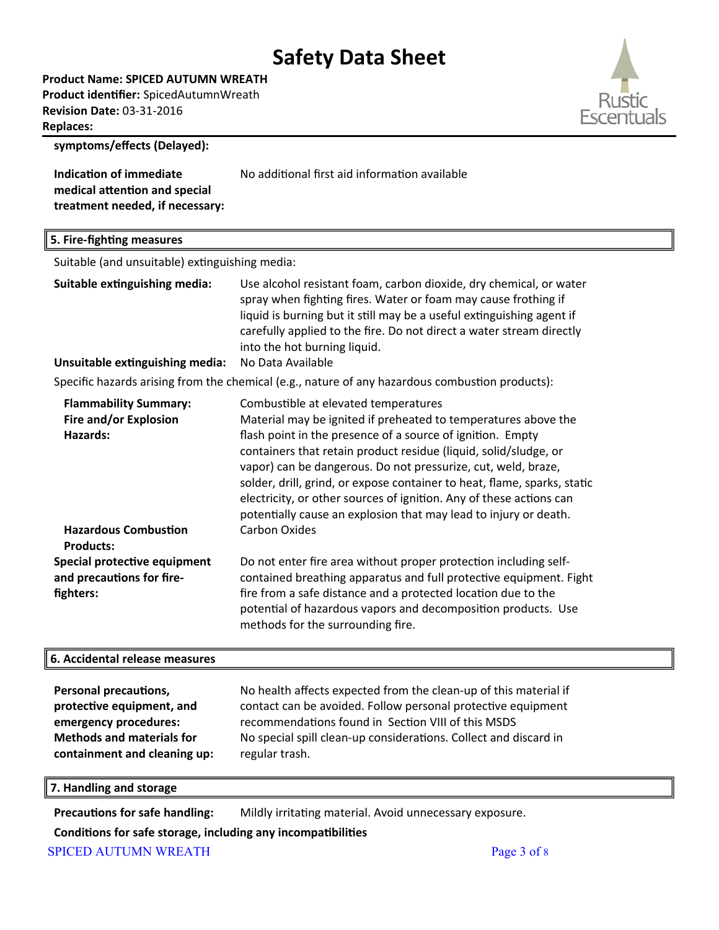**Product Name: SPICED AUTUMN WREATH Product identifier:** SpicedAutumnWreath **Revision Date:** 03-31-2016 **Replaces:** 



**symptoms/effects (Delayed):**

**Indication of immediate medical atention and special treatment needed, if necessary:** No additional first aid information available

#### **5. Fire-fighting measures**

Suitable (and unsuitable) extinguishing media:

| Suitable extinguishing media:   | Use alcohol resistant foam, carbon dioxide, dry chemical, or water    |
|---------------------------------|-----------------------------------------------------------------------|
|                                 | spray when fighting fires. Water or foam may cause frothing if        |
|                                 | liquid is burning but it still may be a useful extinguishing agent if |
|                                 | carefully applied to the fire. Do not direct a water stream directly  |
|                                 | into the hot burning liquid.                                          |
| Unsuitable extinguishing media: | No Data Available                                                     |

Specific hazards arising from the chemical (e.g., nature of any hazardous combustion products):

| <b>Flammability Summary:</b>                                           | Combustible at elevated temperatures                                                                                                                                                                                                                                                                                                                                                                                   |
|------------------------------------------------------------------------|------------------------------------------------------------------------------------------------------------------------------------------------------------------------------------------------------------------------------------------------------------------------------------------------------------------------------------------------------------------------------------------------------------------------|
| Fire and/or Explosion                                                  | Material may be ignited if preheated to temperatures above the                                                                                                                                                                                                                                                                                                                                                         |
| Hazards:                                                               | flash point in the presence of a source of ignition. Empty<br>containers that retain product residue (liquid, solid/sludge, or<br>vapor) can be dangerous. Do not pressurize, cut, weld, braze,<br>solder, drill, grind, or expose container to heat, flame, sparks, static<br>electricity, or other sources of ignition. Any of these actions can<br>potentially cause an explosion that may lead to injury or death. |
| <b>Hazardous Combustion</b><br><b>Products:</b>                        | <b>Carbon Oxides</b>                                                                                                                                                                                                                                                                                                                                                                                                   |
| Special protective equipment<br>and precautions for fire-<br>fighters: | Do not enter fire area without proper protection including self-<br>contained breathing apparatus and full protective equipment. Fight<br>fire from a safe distance and a protected location due to the<br>potential of hazardous vapors and decomposition products. Use<br>methods for the surrounding fire.                                                                                                          |

### **6. Accidental release measures**

| <b>Personal precautions,</b>     | No health affects expected from the clean-up of this material if |
|----------------------------------|------------------------------------------------------------------|
| protective equipment, and        | contact can be avoided. Follow personal protective equipment     |
| emergency procedures:            | recommendations found in Section VIII of this MSDS               |
| <b>Methods and materials for</b> | No special spill clean-up considerations. Collect and discard in |
| containment and cleaning up:     | regular trash.                                                   |

**7. Handling and storage**

Precautions for safe handling: Mildly irritating material. Avoid unnecessary exposure.

### **Conditions for safe storage, including any incompatibilities**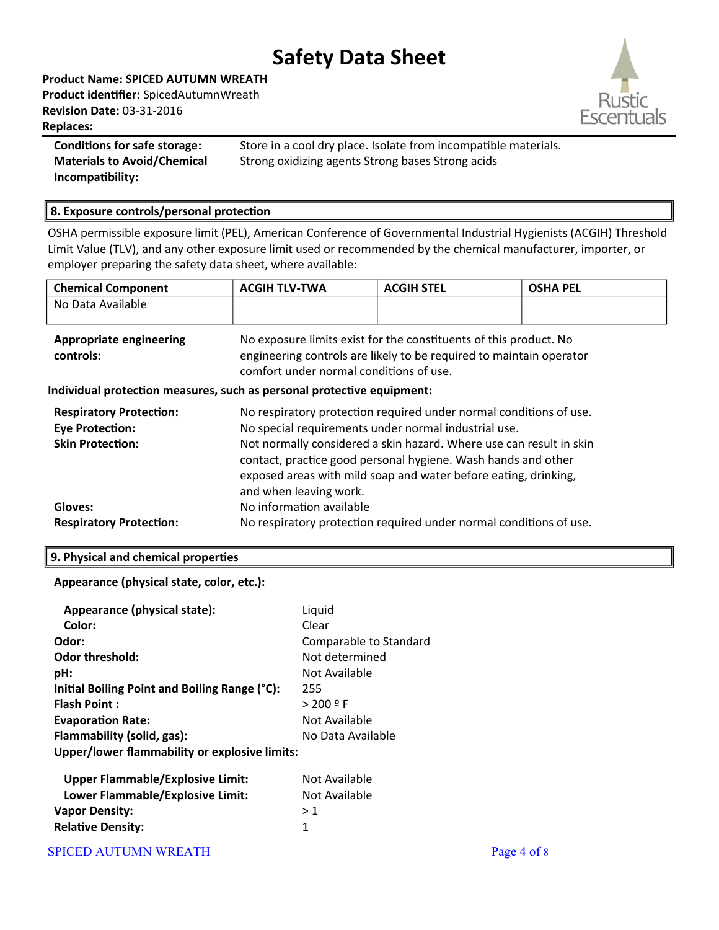**Product Name: SPICED AUTUMN WREATH Product identifier:** SpicedAutumnWreath **Revision Date:** 03-31-2016 **Replaces:** 



**Materials to Avoid/Chemical Incompatibility:**

**Conditions for safe storage:** Store in a cool dry place. Isolate from incompatible materials. Strong oxidizing agents Strong bases Strong acids

### **8. Exposure controls/personal protection**

OSHA permissible exposure limit (PEL), American Conference of Governmental Industrial Hygienists (ACGIH) Threshold Limit Value (TLV), and any other exposure limit used or recommended by the chemical manufacturer, importer, or employer preparing the safety data sheet, where available:

| <b>Chemical Component</b>                                              | <b>ACGIH TLV-TWA</b>                                                                                                                                                                                                              | <b>ACGIH STEL</b>                                                                                                                        | <b>OSHA PEL</b> |  |
|------------------------------------------------------------------------|-----------------------------------------------------------------------------------------------------------------------------------------------------------------------------------------------------------------------------------|------------------------------------------------------------------------------------------------------------------------------------------|-----------------|--|
| No Data Available                                                      |                                                                                                                                                                                                                                   |                                                                                                                                          |                 |  |
| <b>Appropriate engineering</b><br>controls:                            | comfort under normal conditions of use.                                                                                                                                                                                           | No exposure limits exist for the constituents of this product. No<br>engineering controls are likely to be required to maintain operator |                 |  |
| Individual protection measures, such as personal protective equipment: |                                                                                                                                                                                                                                   |                                                                                                                                          |                 |  |
| <b>Respiratory Protection:</b>                                         |                                                                                                                                                                                                                                   | No respiratory protection required under normal conditions of use.                                                                       |                 |  |
| <b>Eye Protection:</b>                                                 | No special requirements under normal industrial use.                                                                                                                                                                              |                                                                                                                                          |                 |  |
| <b>Skin Protection:</b>                                                | Not normally considered a skin hazard. Where use can result in skin<br>contact, practice good personal hygiene. Wash hands and other<br>exposed areas with mild soap and water before eating, drinking,<br>and when leaving work. |                                                                                                                                          |                 |  |
| Gloves:                                                                | No information available                                                                                                                                                                                                          |                                                                                                                                          |                 |  |
| <b>Respiratory Protection:</b>                                         |                                                                                                                                                                                                                                   | No respiratory protection required under normal conditions of use.                                                                       |                 |  |

### **9. Physical and chemical properties**

### **Appearance (physical state, color, etc.):**

| Appearance (physical state):                  | Liquid                 |
|-----------------------------------------------|------------------------|
| Color:                                        | Clear                  |
| Odor:                                         | Comparable to Standard |
| <b>Odor threshold:</b>                        | Not determined         |
| pH:                                           | Not Available          |
| Initial Boiling Point and Boiling Range (°C): | 255                    |
| <b>Flash Point:</b>                           | > 200 º F              |
| <b>Evaporation Rate:</b>                      | Not Available          |
| Flammability (solid, gas):                    | No Data Available      |
| Upper/lower flammability or explosive limits: |                        |
| <b>Upper Flammable/Explosive Limit:</b>       | Not Available          |
| Lower Flammable/Explosive Limit:              | Not Available          |
| <b>Vapor Density:</b>                         | >1                     |
| <b>Relative Density:</b>                      | 1                      |
|                                               |                        |

### SPICED AUTUMN WREATH Page 4 of 8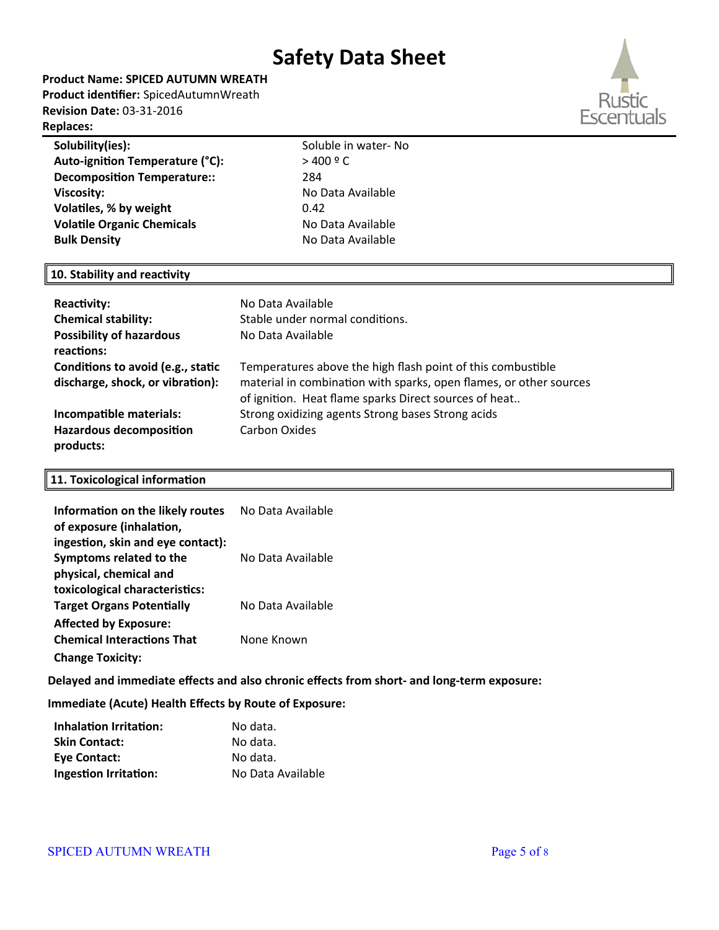**Product Name: SPICED AUTUMN WREATH Product identifier:** SpicedAutumnWreath **Revision Date:** 03-31-2016

#### **Replaces:**

| Solubility(ies):                   | Soluble in water-No |
|------------------------------------|---------------------|
| Auto-ignition Temperature (°C):    | $>$ 400 $9$ C       |
| <b>Decomposition Temperature::</b> | 284                 |
| <b>Viscosity:</b>                  | No Data Available   |
| Volatiles, % by weight             | 0.42                |
| <b>Volatile Organic Chemicals</b>  | No Data Available   |
| <b>Bulk Density</b>                | No Data Available   |
|                                    |                     |

### **10. Stability and reactivity**

| Reactivity:<br><b>Chemical stability:</b><br><b>Possibility of hazardous</b><br>reactions: | No Data Available<br>Stable under normal conditions.<br>No Data Available                                                                                                                  |
|--------------------------------------------------------------------------------------------|--------------------------------------------------------------------------------------------------------------------------------------------------------------------------------------------|
| Conditions to avoid (e.g., static<br>discharge, shock, or vibration):                      | Temperatures above the high flash point of this combustible<br>material in combination with sparks, open flames, or other sources<br>of ignition. Heat flame sparks Direct sources of heat |
| Incompatible materials:<br><b>Hazardous decomposition</b><br>products:                     | Strong oxidizing agents Strong bases Strong acids<br>Carbon Oxides                                                                                                                         |

### **11. Toxicological information**

| Information on the likely routes<br>of exposure (inhalation, | No Data Available |
|--------------------------------------------------------------|-------------------|
| ingestion, skin and eye contact):                            |                   |
| Symptoms related to the                                      | No Data Available |
| physical, chemical and                                       |                   |
| toxicological characteristics:                               |                   |
| <b>Target Organs Potentially</b>                             | No Data Available |
| <b>Affected by Exposure:</b>                                 |                   |
| <b>Chemical Interactions That</b>                            | None Known        |
| <b>Change Toxicity:</b>                                      |                   |

**Delayed and immediate effects and also chronic effects from short- and long-term exposure:**

**Immediate (Acute) Health Effects by Route of Exposure:**

| <b>Inhalation Irritation:</b> | No data.          |
|-------------------------------|-------------------|
| <b>Skin Contact:</b>          | No data.          |
| Eye Contact:                  | No data.          |
| <b>Ingestion Irritation:</b>  | No Data Available |

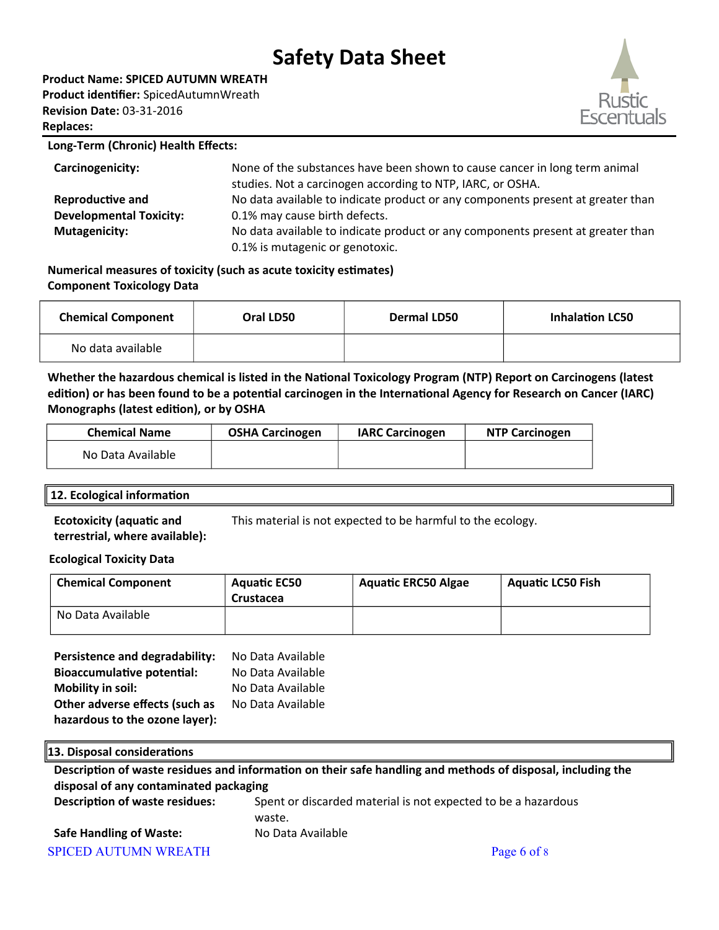**Product Name: SPICED AUTUMN WREATH Product identifier:** SpicedAutumnWreath

**Revision Date:** 03-31-2016 **Replaces:** 



#### **Long-Term (Chronic) Health Effects:**

| Carcinogenicity:               | None of the substances have been shown to cause cancer in long term animal<br>studies. Not a carcinogen according to NTP, IARC, or OSHA. |
|--------------------------------|------------------------------------------------------------------------------------------------------------------------------------------|
| <b>Reproductive and</b>        | No data available to indicate product or any components present at greater than                                                          |
| <b>Developmental Toxicity:</b> | 0.1% may cause birth defects.                                                                                                            |
| <b>Mutagenicity:</b>           | No data available to indicate product or any components present at greater than                                                          |
|                                | 0.1% is mutagenic or genotoxic.                                                                                                          |

**Numerical measures of toxicity (such as acute toxicity estimates) Component Toxicology Data**

| <b>Chemical Component</b> | Oral LD50 | <b>Dermal LD50</b> | <b>Inhalation LC50</b> |
|---------------------------|-----------|--------------------|------------------------|
| No data available         |           |                    |                        |

**Whether the hazardous chemical is listed in the National Toxicology Program (NTP) Report on Carcinogens (latest edition) or has been found to be a potential carcinogen in the International Agency for Research on Cancer (IARC) Monographs (latest edition), or by OSHA**

| <b>Chemical Name</b> | <b>OSHA Carcinogen</b> | <b>IARC Carcinogen</b> | <b>NTP Carcinogen</b> |
|----------------------|------------------------|------------------------|-----------------------|
| No Data Available    |                        |                        |                       |

### **12. Ecological information**

**Ecotoxicity (aquatic and terrestrial, where available):** This material is not expected to be harmful to the ecology.

### **Ecological Toxicity Data**

| <b>Chemical Component</b> | <b>Aquatic EC50</b><br>Crustacea | <b>Aquatic ERC50 Algae</b> | <b>Aguatic LC50 Fish</b> |
|---------------------------|----------------------------------|----------------------------|--------------------------|
| No Data Available         |                                  |                            |                          |

| Persistence and degradability:    | No Data Available |
|-----------------------------------|-------------------|
| <b>Bioaccumulative potential:</b> | No Data Available |
| <b>Mobility in soil:</b>          | No Data Available |
| Other adverse effects (such as    | No Data Available |
| hazardous to the ozone layer):    |                   |

| 13. Disposal considerations            |                                                                                                             |
|----------------------------------------|-------------------------------------------------------------------------------------------------------------|
|                                        | Description of waste residues and information on their safe handling and methods of disposal, including the |
| disposal of any contaminated packaging |                                                                                                             |
| <b>Description of waste residues:</b>  | Spent or discarded material is not expected to be a hazardous<br>waste.                                     |
| <b>Safe Handling of Waste:</b>         | No Data Available                                                                                           |
| <b>SPICED AUTUMN WREATH</b>            | Page 6 of 8                                                                                                 |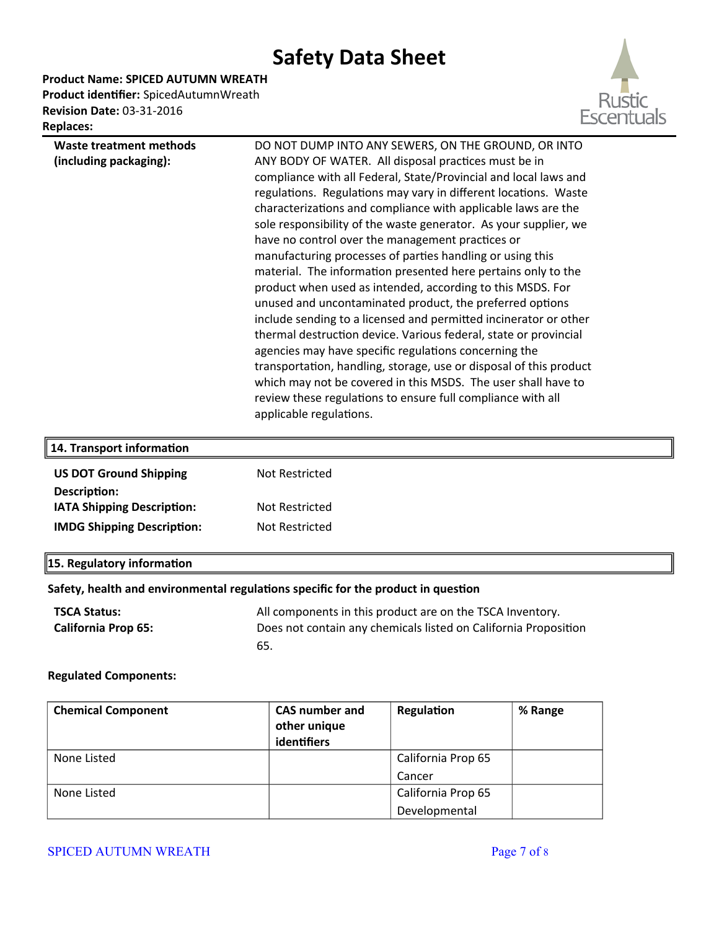**Product Name: SPICED AUTUMN WREATH Product identifier:** SpicedAutumnWreath



| <b>Replaces:</b>        |  |
|-------------------------|--|
| Waste treatment methods |  |
| (including packaging):  |  |

**Revision Date:** 03-31-2016

DO NOT DUMP INTO ANY SEWERS, ON THE GROUND, OR INTO ANY BODY OF WATER. All disposal practices must be in compliance with all Federal, State/Provincial and local laws and regulations. Regulations may vary in different locations. Waste characterizations and compliance with applicable laws are the sole responsibility of the waste generator. As your supplier, we have no control over the management practices or manufacturing processes of partes handling or using this material. The information presented here pertains only to the product when used as intended, according to this MSDS. For unused and uncontaminated product, the preferred options include sending to a licensed and permited incinerator or other thermal destruction device. Various federal, state or provincial agencies may have specific regulations concerning the transportation, handling, storage, use or disposal of this product which may not be covered in this MSDS. The user shall have to review these regulations to ensure full compliance with all applicable regulations.

| 14. Transport information         |                |
|-----------------------------------|----------------|
| <b>US DOT Ground Shipping</b>     | Not Restricted |
| Description:                      |                |
| IATA Shipping Description:        | Not Restricted |
| <b>IMDG Shipping Description:</b> | Not Restricted |
|                                   |                |

### **15. Regulatory information**

#### **Safety, health and environmental regulations specific for the product in question**

| <b>TSCA Status:</b>        | All components in this product are on the TSCA Inventory.       |
|----------------------------|-----------------------------------------------------------------|
| <b>California Prop 65:</b> | Does not contain any chemicals listed on California Proposition |
|                            | -65.                                                            |

#### **Regulated Components:**

| <b>Chemical Component</b> | <b>CAS number and</b> | Regulation         | % Range |
|---------------------------|-----------------------|--------------------|---------|
|                           | other unique          |                    |         |
|                           | identifiers           |                    |         |
| None Listed               |                       | California Prop 65 |         |
|                           |                       | Cancer             |         |
| None Listed               |                       | California Prop 65 |         |
|                           |                       | Developmental      |         |